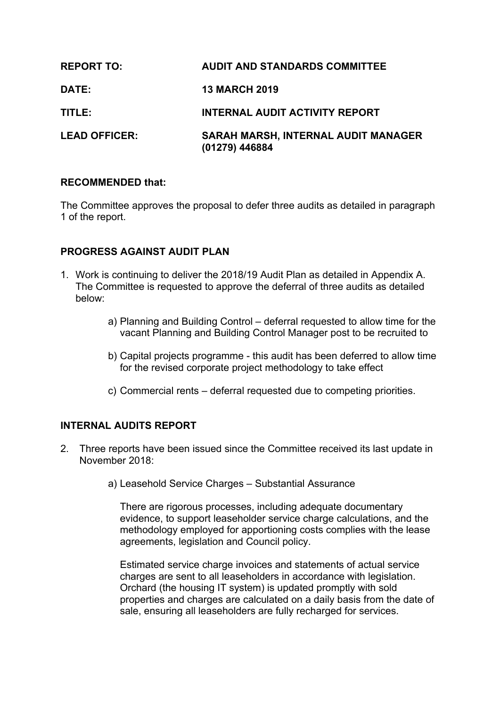| <b>REPORT TO:</b>    | <b>AUDIT AND STANDARDS COMMITTEE</b>                         |
|----------------------|--------------------------------------------------------------|
| <b>DATE:</b>         | <b>13 MARCH 2019</b>                                         |
| TITLE:               | <b>INTERNAL AUDIT ACTIVITY REPORT</b>                        |
| <b>LEAD OFFICER:</b> | <b>SARAH MARSH, INTERNAL AUDIT MANAGER</b><br>(01279) 446884 |

### **RECOMMENDED that:**

The Committee approves the proposal to defer three audits as detailed in paragraph 1 of the report.

# **PROGRESS AGAINST AUDIT PLAN**

- 1. Work is continuing to deliver the 2018/19 Audit Plan as detailed in Appendix A. The Committee is requested to approve the deferral of three audits as detailed below:
	- a) Planning and Building Control deferral requested to allow time for the vacant Planning and Building Control Manager post to be recruited to
	- b) Capital projects programme this audit has been deferred to allow time for the revised corporate project methodology to take effect
	- c) Commercial rents deferral requested due to competing priorities.

# **INTERNAL AUDITS REPORT**

- 2. Three reports have been issued since the Committee received its last update in November 2018:
	- a) Leasehold Service Charges Substantial Assurance

There are rigorous processes, including adequate documentary evidence, to support leaseholder service charge calculations, and the methodology employed for apportioning costs complies with the lease agreements, legislation and Council policy.

Estimated service charge invoices and statements of actual service charges are sent to all leaseholders in accordance with legislation. Orchard (the housing IT system) is updated promptly with sold properties and charges are calculated on a daily basis from the date of sale, ensuring all leaseholders are fully recharged for services.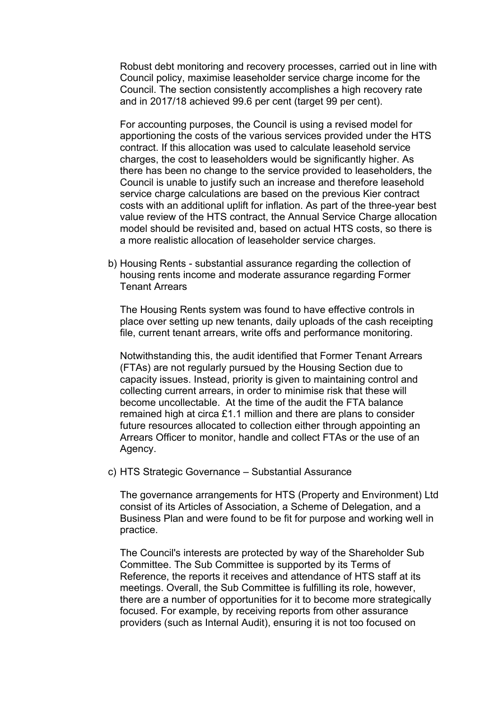Robust debt monitoring and recovery processes, carried out in line with Council policy, maximise leaseholder service charge income for the Council. The section consistently accomplishes a high recovery rate and in 2017/18 achieved 99.6 per cent (target 99 per cent).

For accounting purposes, the Council is using a revised model for apportioning the costs of the various services provided under the HTS contract. If this allocation was used to calculate leasehold service charges, the cost to leaseholders would be significantly higher. As there has been no change to the service provided to leaseholders, the Council is unable to justify such an increase and therefore leasehold service charge calculations are based on the previous Kier contract costs with an additional uplift for inflation. As part of the three-year best value review of the HTS contract, the Annual Service Charge allocation model should be revisited and, based on actual HTS costs, so there is a more realistic allocation of leaseholder service charges.

b) Housing Rents - substantial assurance regarding the collection of housing rents income and moderate assurance regarding Former Tenant Arrears

The Housing Rents system was found to have effective controls in place over setting up new tenants, daily uploads of the cash receipting file, current tenant arrears, write offs and performance monitoring.

Notwithstanding this, the audit identified that Former Tenant Arrears (FTAs) are not regularly pursued by the Housing Section due to capacity issues. Instead, priority is given to maintaining control and collecting current arrears, in order to minimise risk that these will become uncollectable. At the time of the audit the FTA balance remained high at circa £1.1 million and there are plans to consider future resources allocated to collection either through appointing an Arrears Officer to monitor, handle and collect FTAs or the use of an Agency.

c) HTS Strategic Governance – Substantial Assurance

The governance arrangements for HTS (Property and Environment) Ltd consist of its Articles of Association, a Scheme of Delegation, and a Business Plan and were found to be fit for purpose and working well in practice.

The Council's interests are protected by way of the Shareholder Sub Committee. The Sub Committee is supported by its Terms of Reference, the reports it receives and attendance of HTS staff at its meetings. Overall, the Sub Committee is fulfilling its role, however, there are a number of opportunities for it to become more strategically focused. For example, by receiving reports from other assurance providers (such as Internal Audit), ensuring it is not too focused on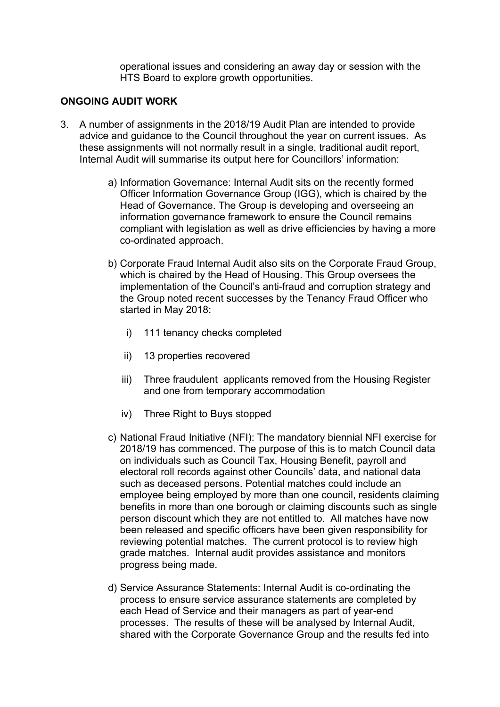operational issues and considering an away day or session with the HTS Board to explore growth opportunities.

### **ONGOING AUDIT WORK**

- 3. A number of assignments in the 2018/19 Audit Plan are intended to provide advice and guidance to the Council throughout the year on current issues. As these assignments will not normally result in a single, traditional audit report, Internal Audit will summarise its output here for Councillors' information:
	- a) Information Governance: Internal Audit sits on the recently formed Officer Information Governance Group (IGG), which is chaired by the Head of Governance. The Group is developing and overseeing an information governance framework to ensure the Council remains compliant with legislation as well as drive efficiencies by having a more co-ordinated approach.
	- b) Corporate Fraud Internal Audit also sits on the Corporate Fraud Group, which is chaired by the Head of Housing. This Group oversees the implementation of the Council's anti-fraud and corruption strategy and the Group noted recent successes by the Tenancy Fraud Officer who started in May 2018:
		- i) 111 tenancy checks completed
		- ii) 13 properties recovered
		- iii) Three fraudulent applicants removed from the Housing Register and one from temporary accommodation
		- iv) Three Right to Buys stopped
	- c) National Fraud Initiative (NFI): The mandatory biennial NFI exercise for 2018/19 has commenced. The purpose of this is to match Council data on individuals such as Council Tax, Housing Benefit, payroll and electoral roll records against other Councils' data, and national data such as deceased persons. Potential matches could include an employee being employed by more than one council, residents claiming benefits in more than one borough or claiming discounts such as single person discount which they are not entitled to. All matches have now been released and specific officers have been given responsibility for reviewing potential matches. The current protocol is to review high grade matches. Internal audit provides assistance and monitors progress being made.
	- d) Service Assurance Statements: Internal Audit is co-ordinating the process to ensure service assurance statements are completed by each Head of Service and their managers as part of year-end processes. The results of these will be analysed by Internal Audit, shared with the Corporate Governance Group and the results fed into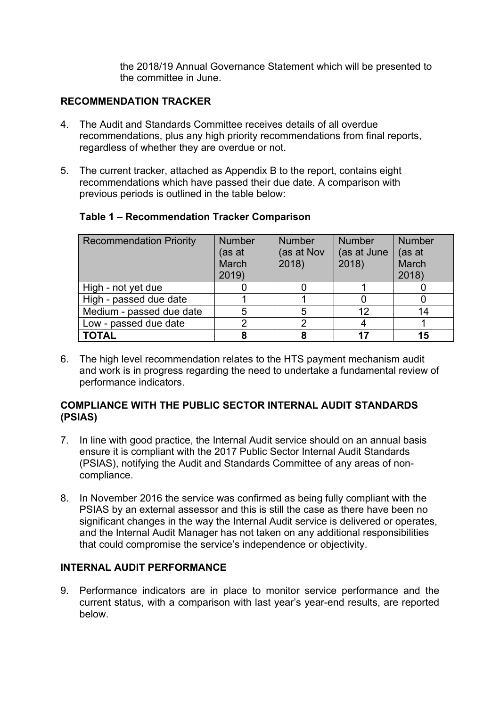the 2018/19 Annual Governance Statement which will be presented to the committee in June.

# **RECOMMENDATION TRACKER**

- 4. The Audit and Standards Committee receives details of all overdue recommendations, plus any high priority recommendations from final reports, regardless of whether they are overdue or not.
- 5. The current tracker, attached as Appendix B to the report, contains eight recommendations which have passed their due date. A comparison with previous periods is outlined in the table below:

| <b>Recommendation Priority</b> | <b>Number</b><br>(as at<br>March<br>2019) | <b>Number</b><br>(as at Nov<br>2018 | <b>Number</b><br>(as at June<br>2018) | <b>Number</b><br>(as at<br>March<br>2018 |
|--------------------------------|-------------------------------------------|-------------------------------------|---------------------------------------|------------------------------------------|
| High - not yet due             |                                           |                                     |                                       |                                          |
| High - passed due date         |                                           |                                     |                                       |                                          |
| Medium - passed due date       |                                           | 5                                   | 12                                    | 14                                       |
| Low - passed due date          |                                           |                                     |                                       |                                          |
| <b>TOTAL</b>                   |                                           |                                     | $-17$                                 | 15                                       |

### **Table 1 – Recommendation Tracker Comparison**

6. The high level recommendation relates to the HTS payment mechanism audit and work is in progress regarding the need to undertake a fundamental review of performance indicators.

# **COMPLIANCE WITH THE PUBLIC SECTOR INTERNAL AUDIT STANDARDS (PSIAS)**

- 7. In line with good practice, the Internal Audit service should on an annual basis ensure it is compliant with the 2017 Public Sector Internal Audit Standards (PSIAS), notifying the Audit and Standards Committee of any areas of noncompliance.
- 8. In November 2016 the service was confirmed as being fully compliant with the PSIAS by an external assessor and this is still the case as there have been no significant changes in the way the Internal Audit service is delivered or operates, and the Internal Audit Manager has not taken on any additional responsibilities that could compromise the service's independence or objectivity.

# **INTERNAL AUDIT PERFORMANCE**

9. Performance indicators are in place to monitor service performance and the current status, with a comparison with last year's year-end results, are reported below.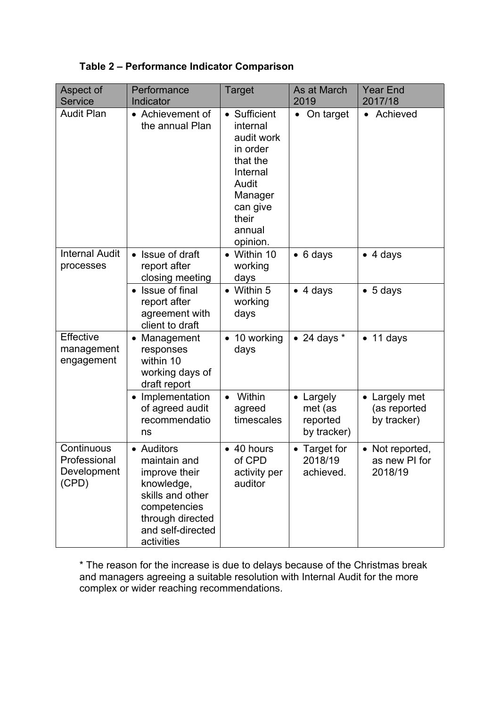# **Table 2 – Performance Indicator Comparison**

| Aspect of<br><b>Service</b>                        | Performance<br>Indicator                                                                                                                             | <b>Target</b>                                                                                                                             | As at March<br>2019                           | <b>Year End</b><br>2017/18                  |
|----------------------------------------------------|------------------------------------------------------------------------------------------------------------------------------------------------------|-------------------------------------------------------------------------------------------------------------------------------------------|-----------------------------------------------|---------------------------------------------|
| <b>Audit Plan</b>                                  | • Achievement of<br>the annual Plan                                                                                                                  | • Sufficient<br>internal<br>audit work<br>in order<br>that the<br>Internal<br>Audit<br>Manager<br>can give<br>their<br>annual<br>opinion. | On target<br>$\bullet$                        | Achieved                                    |
| <b>Internal Audit</b><br>processes                 | Issue of draft<br>report after<br>closing meeting                                                                                                    | • Within 10<br>working<br>days                                                                                                            | $\bullet$ 6 days                              | 4 days<br>$\bullet$                         |
|                                                    | Issue of final<br>report after<br>agreement with<br>client to draft                                                                                  | $\bullet$ Within 5<br>working<br>days                                                                                                     | $\bullet$ 4 days                              | 5 days                                      |
| Effective<br>management<br>engagement              | Management<br>$\bullet$<br>responses<br>within 10<br>working days of<br>draft report                                                                 | $\bullet$ 10 working<br>days                                                                                                              | $\bullet$ 24 days $^{\star}$                  | 11 days                                     |
|                                                    | Implementation<br>of agreed audit<br>recommendatio<br>ns                                                                                             | Within<br>$\bullet$<br>agreed<br>timescales                                                                                               | Largely<br>met (as<br>reported<br>by tracker) | Largely met<br>(as reported<br>by tracker)  |
| Continuous<br>Professional<br>Development<br>(CPD) | • Auditors<br>maintain and<br>improve their<br>knowledge,<br>skills and other<br>competencies<br>through directed<br>and self-directed<br>activities | • 40 hours<br>of CPD<br>activity per<br>auditor                                                                                           | • Target for<br>2018/19<br>achieved.          | • Not reported,<br>as new PI for<br>2018/19 |

\* The reason for the increase is due to delays because of the Christmas break and managers agreeing a suitable resolution with Internal Audit for the more complex or wider reaching recommendations.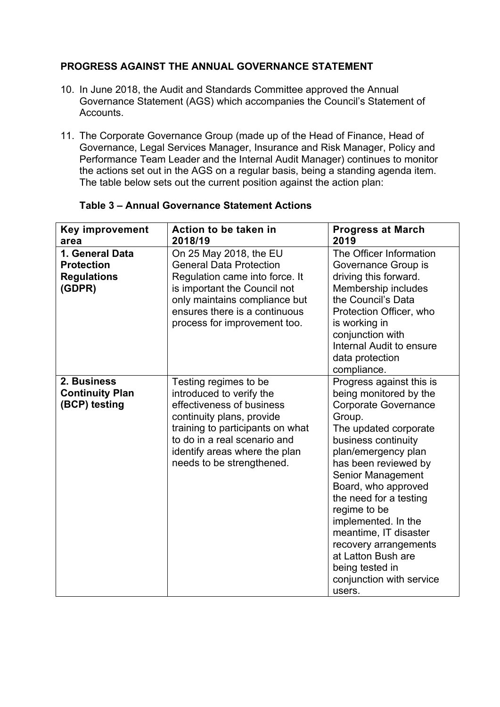# **PROGRESS AGAINST THE ANNUAL GOVERNANCE STATEMENT**

- 10. In June 2018, the Audit and Standards Committee approved the Annual Governance Statement (AGS) which accompanies the Council's Statement of Accounts.
- 11. The Corporate Governance Group (made up of the Head of Finance, Head of Governance, Legal Services Manager, Insurance and Risk Manager, Policy and Performance Team Leader and the Internal Audit Manager) continues to monitor the actions set out in the AGS on a regular basis, being a standing agenda item. The table below sets out the current position against the action plan:

| <b>Key improvement</b><br>area                                       | Action to be taken in<br>2018/19                                                                                                                                                                                                              | <b>Progress at March</b><br>2019                                                                                                                                                                                                                                                                                                                                                                                                                |
|----------------------------------------------------------------------|-----------------------------------------------------------------------------------------------------------------------------------------------------------------------------------------------------------------------------------------------|-------------------------------------------------------------------------------------------------------------------------------------------------------------------------------------------------------------------------------------------------------------------------------------------------------------------------------------------------------------------------------------------------------------------------------------------------|
| 1. General Data<br><b>Protection</b><br><b>Regulations</b><br>(GDPR) | On 25 May 2018, the EU<br><b>General Data Protection</b><br>Regulation came into force. It<br>is important the Council not<br>only maintains compliance but<br>ensures there is a continuous<br>process for improvement too.                  | The Officer Information<br>Governance Group is<br>driving this forward.<br>Membership includes<br>the Council's Data<br>Protection Officer, who<br>is working in<br>conjunction with<br>Internal Audit to ensure<br>data protection<br>compliance.                                                                                                                                                                                              |
| 2. Business<br><b>Continuity Plan</b><br>(BCP) testing               | Testing regimes to be<br>introduced to verify the<br>effectiveness of business<br>continuity plans, provide<br>training to participants on what<br>to do in a real scenario and<br>identify areas where the plan<br>needs to be strengthened. | Progress against this is<br>being monitored by the<br><b>Corporate Governance</b><br>Group.<br>The updated corporate<br>business continuity<br>plan/emergency plan<br>has been reviewed by<br><b>Senior Management</b><br>Board, who approved<br>the need for a testing<br>regime to be<br>implemented. In the<br>meantime, IT disaster<br>recovery arrangements<br>at Latton Bush are<br>being tested in<br>conjunction with service<br>users. |

# **Table 3 – Annual Governance Statement Actions**